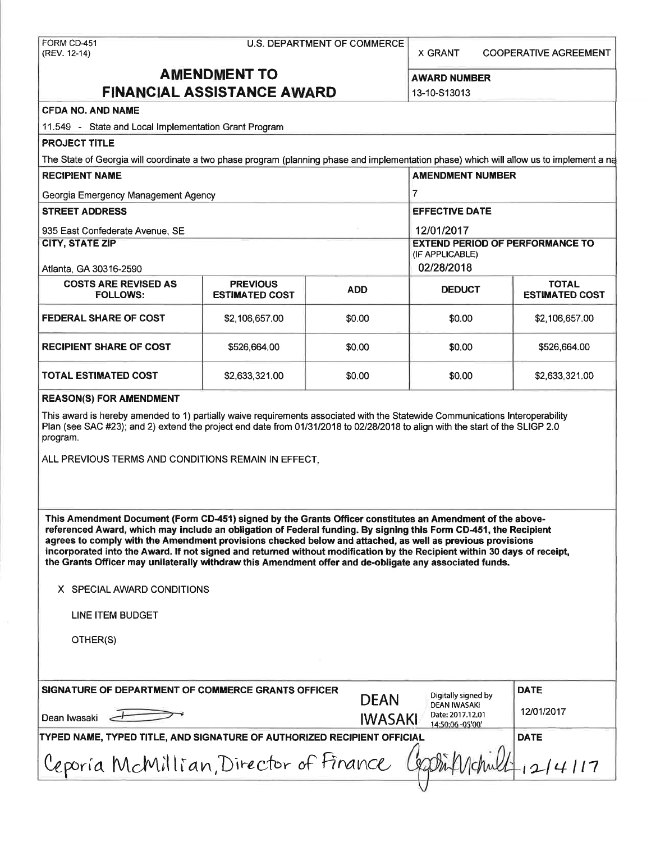FORM CD-451 U.S. DEPARTMENT OF COMMERCE (REV. 12-14)

X GRANT COOPERATIVE AGREEMENT

# **AMENDMENT TO** AWARD NUMBER **FINANCIAL ASSISTANCE AWARD** 13-10-S13013

#### **CFDA NO. AND NAME**

11.549 - State and Local Implementation Grant Program

| <b>PROJECT TITLE</b>                                                                                                                     |                                          |            |                                                           |                                       |
|------------------------------------------------------------------------------------------------------------------------------------------|------------------------------------------|------------|-----------------------------------------------------------|---------------------------------------|
| The State of Georgia will coordinate a two phase program (planning phase and implementation phase) which will allow us to implement a na |                                          |            |                                                           |                                       |
| <b>RECIPIENT NAME</b>                                                                                                                    | <b>AMENDMENT NUMBER</b>                  |            |                                                           |                                       |
| Georgia Emergency Management Agency                                                                                                      |                                          |            |                                                           |                                       |
| <b>STREET ADDRESS</b>                                                                                                                    |                                          |            | <b>EFFECTIVE DATE</b>                                     |                                       |
| 935 East Confederate Avenue, SE                                                                                                          |                                          |            | 12/01/2017                                                |                                       |
| <b>CITY, STATE ZIP</b>                                                                                                                   |                                          |            | <b>EXTEND PERIOD OF PERFORMANCE TO</b><br>(IF APPLICABLE) |                                       |
| Atlanta, GA 30316-2590                                                                                                                   |                                          |            | 02/28/2018                                                |                                       |
| <b>COSTS ARE REVISED AS</b><br><b>FOLLOWS:</b>                                                                                           | <b>PREVIOUS</b><br><b>ESTIMATED COST</b> | <b>ADD</b> | <b>DEDUCT</b>                                             | <b>TOTAL</b><br><b>ESTIMATED COST</b> |
| <b>FEDERAL SHARE OF COST</b>                                                                                                             | \$2,106,657.00                           | \$0.00     | \$0.00                                                    | \$2,106,657.00                        |
| <b>RECIPIENT SHARE OF COST</b>                                                                                                           | \$526,664,00                             | \$0.00     | \$0.00                                                    | \$526,664.00                          |
| <b>TOTAL ESTIMATED COST</b>                                                                                                              | \$2,633,321.00                           | \$0.00     | \$0.00                                                    | \$2,633,321.00                        |
|                                                                                                                                          |                                          |            |                                                           |                                       |

#### **REASON(S) FOR AMENDMENT**

This award is hereby amended to 1) partially waive requirements associated with the Statewide Communications Interoperability Plan (see SAC #23); and 2) extend the project end date from 01/31/2018 to 02/28/2018 to align with the start of the SLIGP 2.0 program.

ALL PREVIOUS TERMS AND CONDITIONS REMAIN IN EFFECT.

**This Amendment Document (Form CD-451) signed by the Grants Officer constitutes an Amendment of the abovereferenced Award, which may include an obligation of Federal funding. By signing this Form CD-451, the Recipient agrees to comply with the Amendment provisions checked below and attached, as well as previous provisions incorporated into the Award. If not signed and returned without modification by the Recipient within 30 days of receipt, the Grants Officer may unilaterally withdraw this Amendment offer and de-obligate any associated funds.** 

#### **X** SPECIAL AWARD CONDITIONS

LINE ITEM BUDGET

OTHER(S)

| SIGNATURE OF DEPARTMENT OF COMMERCE GRANTS OFFICER                      | <b>DEAN</b>    | Digitally signed by<br><b>DEAN IWASAKI</b><br>Date: 2017.12.01<br>14:50:06 -05'00' | <b>DATE</b> |
|-------------------------------------------------------------------------|----------------|------------------------------------------------------------------------------------|-------------|
| Dean Iwasaki                                                            | <b>IWASAKI</b> |                                                                                    | 12/01/2017  |
| TYPED NAME, TYPED TITLE, AND SIGNATURE OF AUTHORIZED RECIPIENT OFFICIAL | <b>DATE</b>    |                                                                                    |             |
| Ceporia McMillian, Director of Finance Charlinghill                     |                |                                                                                    |             |
|                                                                         |                |                                                                                    |             |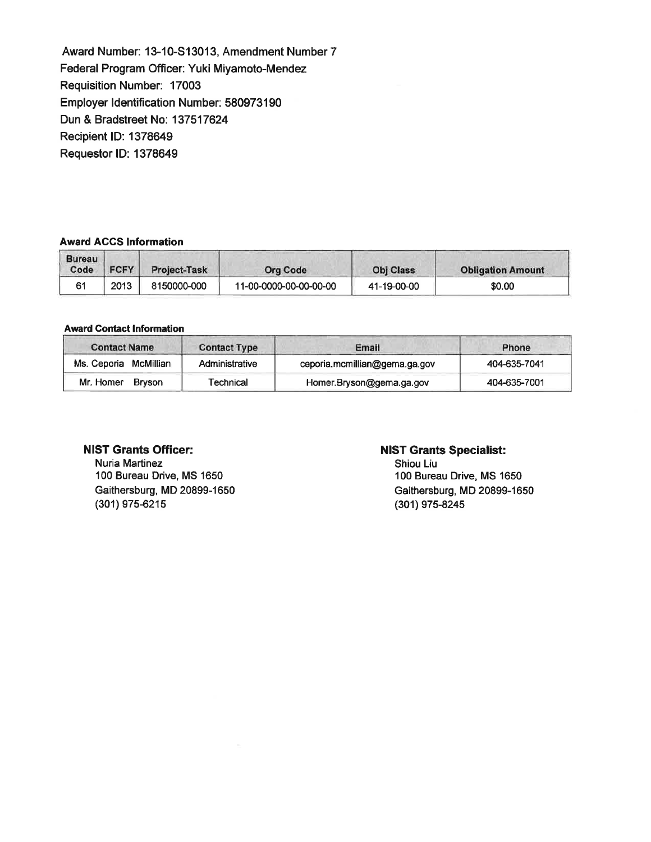Award Number: 13-10-S13013, Amendment Number 7 Federal Program Officer: Yuki Miyamoto-Mendez Requisition Number: 17003 Employer Identification Number: 580973190 Dun & Bradstreet No: 137517624 Recipient ID: 1378649 Requestor ID: 1378649

# **Award ACCS Information**

| <b>Bureau</b><br>Code | <b>FCFY</b> | <b>Project-Task</b> | <b>Org Code</b>        | <b>Obj Class</b> | <b>Obligation Amount</b> |
|-----------------------|-------------|---------------------|------------------------|------------------|--------------------------|
| 61                    | 2013        | 8150000-000         | 11-00-0000-00-00-00-00 | 41-19-00-00      | \$0.00                   |

#### **Award** Contact Information

| <b>Contact Name</b>   | <b>Contact Type</b> | Email                         | Phone        |
|-----------------------|---------------------|-------------------------------|--------------|
| Ms. Ceporia McMillian | Administrative      | ceporia.mcmillian@gema.ga.gov | 404-635-7041 |
| Mr. Homer<br>Brvson   | <b>Technical</b>    | Homer.Bryson@gema.ga.gov      | 404-635-7001 |

### **NIST Grants Officer:**

Nuria Martinez 100 Bureau Drive, MS 1650 Gaithersburg, MD 20899-1650 (301) 975-6215

#### **NIST Grants Specialist:**

Shiou Liu 100 Bureau Drive, MS 1650 Gaithersburg, MD 20899-1650 (301) 975-8245